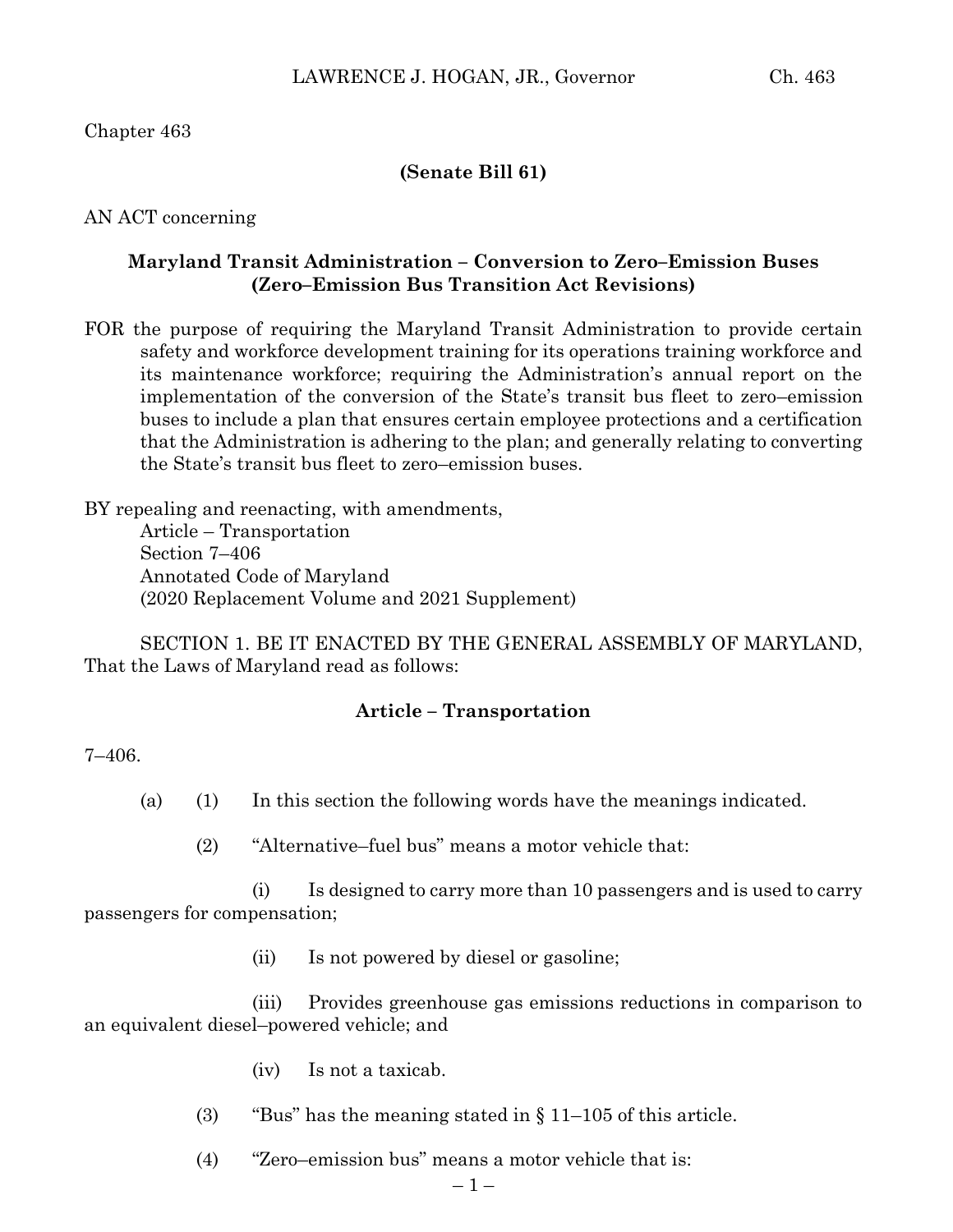Chapter 463

## **(Senate Bill 61)**

AN ACT concerning

### **Maryland Transit Administration – Conversion to Zero–Emission Buses (Zero–Emission Bus Transition Act Revisions)**

FOR the purpose of requiring the Maryland Transit Administration to provide certain safety and workforce development training for its operations training workforce and its maintenance workforce; requiring the Administration's annual report on the implementation of the conversion of the State's transit bus fleet to zero–emission buses to include a plan that ensures certain employee protections and a certification that the Administration is adhering to the plan; and generally relating to converting the State's transit bus fleet to zero–emission buses.

BY repealing and reenacting, with amendments, Article – Transportation Section 7–406 Annotated Code of Maryland (2020 Replacement Volume and 2021 Supplement)

SECTION 1. BE IT ENACTED BY THE GENERAL ASSEMBLY OF MARYLAND, That the Laws of Maryland read as follows:

#### **Article – Transportation**

7–406.

- (a) (1) In this section the following words have the meanings indicated.
	- (2) "Alternative–fuel bus" means a motor vehicle that:

(i) Is designed to carry more than 10 passengers and is used to carry passengers for compensation;

(ii) Is not powered by diesel or gasoline;

(iii) Provides greenhouse gas emissions reductions in comparison to an equivalent diesel–powered vehicle; and

- (iv) Is not a taxicab.
- (3) "Bus" has the meaning stated in  $\S 11-105$  of this article.
- (4) "Zero–emission bus" means a motor vehicle that is: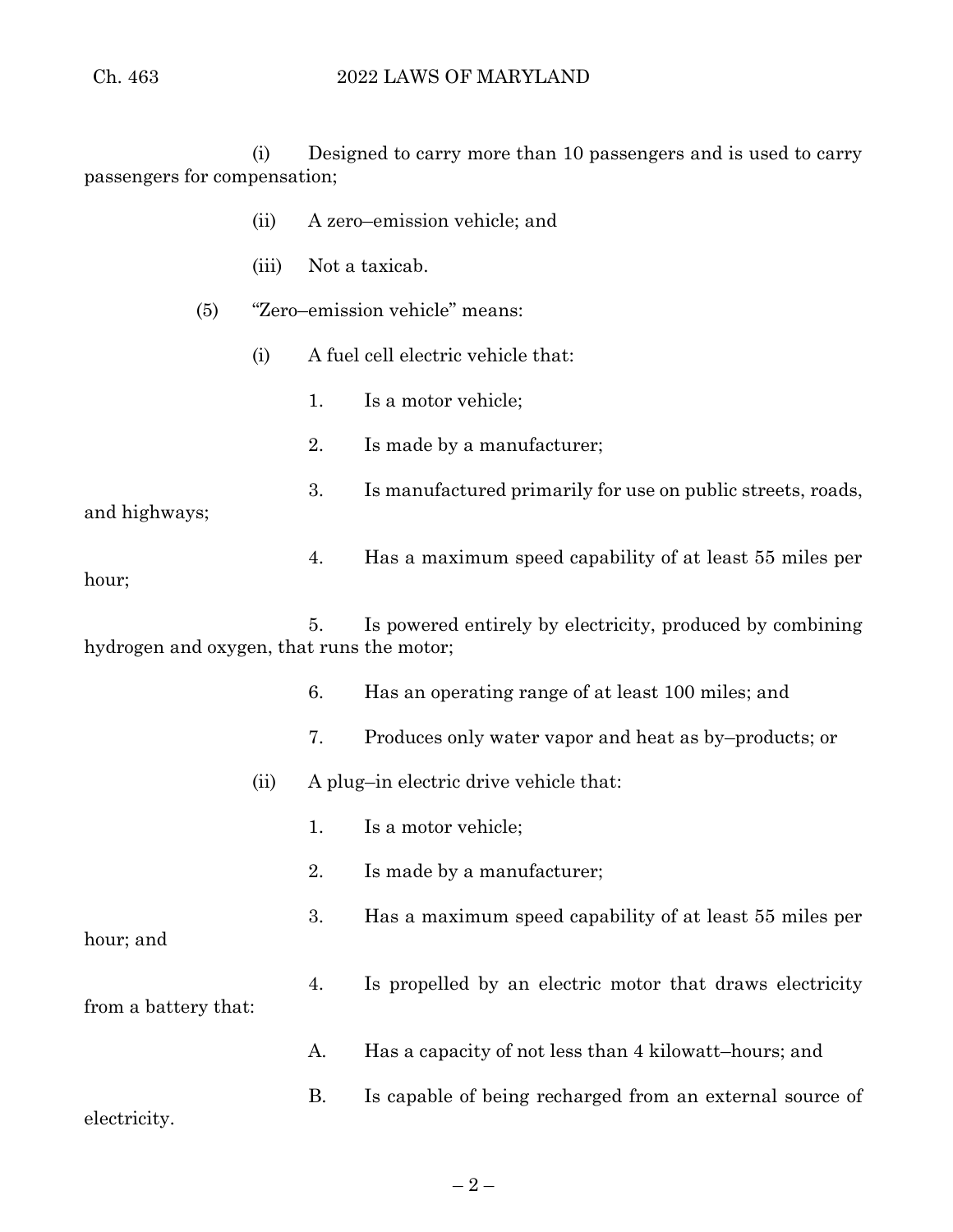(i) Designed to carry more than 10 passengers and is used to carry passengers for compensation;

|                                                                                                              |                                                | (ii)  |                                | A zero-emission vehicle; and                                |  |
|--------------------------------------------------------------------------------------------------------------|------------------------------------------------|-------|--------------------------------|-------------------------------------------------------------|--|
|                                                                                                              |                                                | (iii) |                                | Not a taxicab.                                              |  |
|                                                                                                              | (5)                                            |       | "Zero-emission vehicle" means: |                                                             |  |
|                                                                                                              |                                                | (i)   |                                | A fuel cell electric vehicle that:                          |  |
|                                                                                                              |                                                |       | 1.                             | Is a motor vehicle;                                         |  |
|                                                                                                              |                                                |       | 2.                             | Is made by a manufacturer;                                  |  |
| and highways;                                                                                                |                                                |       | 3.                             | Is manufactured primarily for use on public streets, roads, |  |
| hour;                                                                                                        |                                                |       | 4.                             | Has a maximum speed capability of at least 55 miles per     |  |
| Is powered entirely by electricity, produced by combining<br>5.<br>hydrogen and oxygen, that runs the motor; |                                                |       |                                |                                                             |  |
|                                                                                                              |                                                |       | 6.                             | Has an operating range of at least 100 miles; and           |  |
|                                                                                                              |                                                |       | 7.                             | Produces only water vapor and heat as by-products; or       |  |
|                                                                                                              | A plug-in electric drive vehicle that:<br>(ii) |       |                                |                                                             |  |
|                                                                                                              |                                                |       | 1.                             | Is a motor vehicle;                                         |  |
|                                                                                                              |                                                |       | 2.                             | Is made by a manufacturer;                                  |  |
| hour; and                                                                                                    |                                                |       | 3.                             | Has a maximum speed capability of at least 55 miles per     |  |
| from a battery that:                                                                                         |                                                |       | 4.                             | Is propelled by an electric motor that draws electricity    |  |
|                                                                                                              |                                                |       | A.                             | Has a capacity of not less than 4 kilowatt-hours; and       |  |
| electricity.                                                                                                 |                                                |       | В.                             | Is capable of being recharged from an external source of    |  |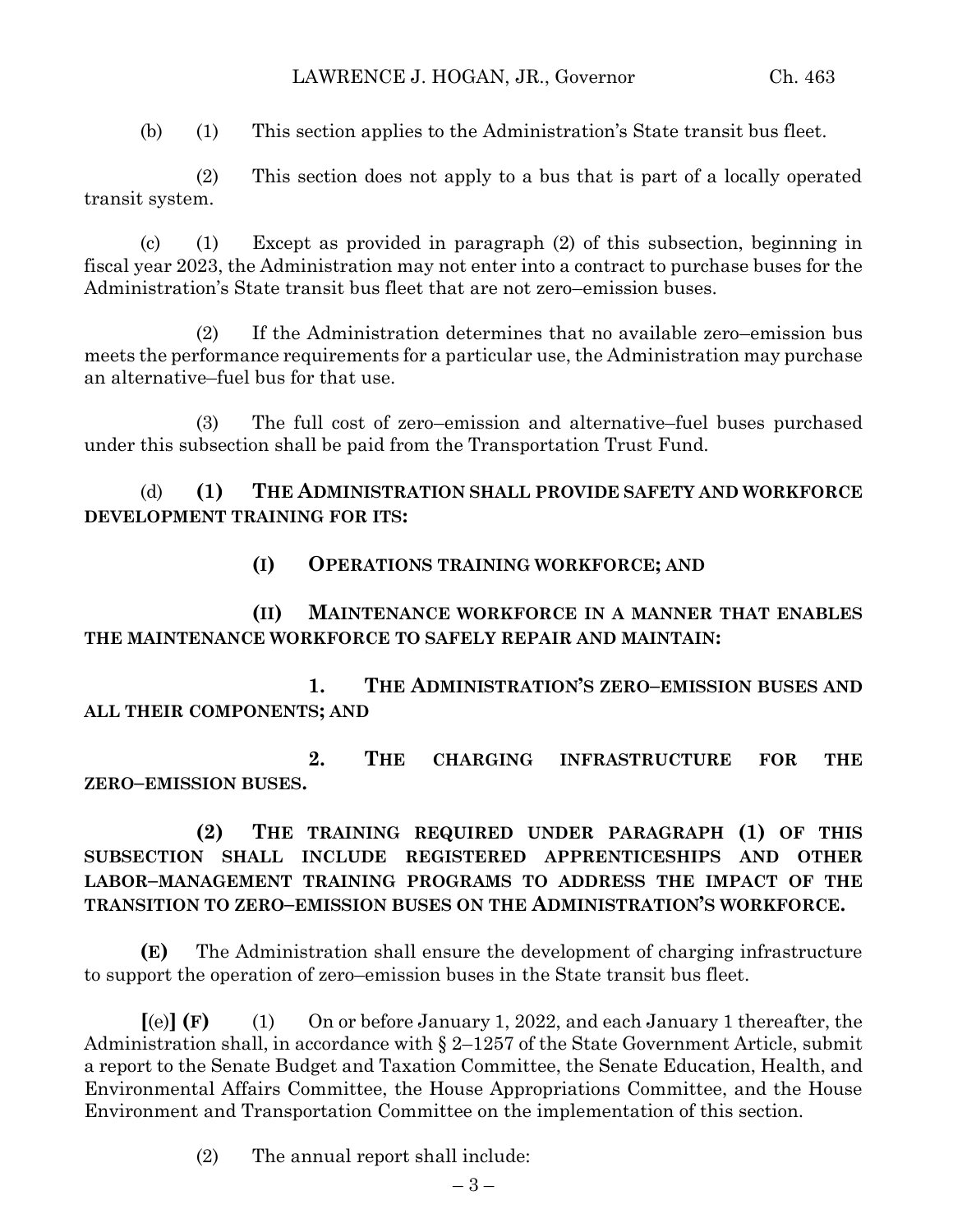(b) (1) This section applies to the Administration's State transit bus fleet.

(2) This section does not apply to a bus that is part of a locally operated transit system.

(c) (1) Except as provided in paragraph (2) of this subsection, beginning in fiscal year 2023, the Administration may not enter into a contract to purchase buses for the Administration's State transit bus fleet that are not zero–emission buses.

(2) If the Administration determines that no available zero–emission bus meets the performance requirements for a particular use, the Administration may purchase an alternative–fuel bus for that use.

(3) The full cost of zero–emission and alternative–fuel buses purchased under this subsection shall be paid from the Transportation Trust Fund.

(d) **(1) THE ADMINISTRATION SHALL PROVIDE SAFETY AND WORKFORCE DEVELOPMENT TRAINING FOR ITS:**

**(I) OPERATIONS TRAINING WORKFORCE; AND** 

**(II) MAINTENANCE WORKFORCE IN A MANNER THAT ENABLES THE MAINTENANCE WORKFORCE TO SAFELY REPAIR AND MAINTAIN:**

**1. THE ADMINISTRATION'S ZERO–EMISSION BUSES AND ALL THEIR COMPONENTS; AND** 

**2. THE CHARGING INFRASTRUCTURE FOR THE ZERO–EMISSION BUSES.**

**(2) THE TRAINING REQUIRED UNDER PARAGRAPH (1) OF THIS SUBSECTION SHALL INCLUDE REGISTERED APPRENTICESHIPS AND OTHER LABOR–MANAGEMENT TRAINING PROGRAMS TO ADDRESS THE IMPACT OF THE TRANSITION TO ZERO–EMISSION BUSES ON THE ADMINISTRATION'S WORKFORCE.**

**(E)** The Administration shall ensure the development of charging infrastructure to support the operation of zero–emission buses in the State transit bus fleet.

**[**(e)**] (F)** (1) On or before January 1, 2022, and each January 1 thereafter, the Administration shall, in accordance with § 2–1257 of the State Government Article, submit a report to the Senate Budget and Taxation Committee, the Senate Education, Health, and Environmental Affairs Committee, the House Appropriations Committee, and the House Environment and Transportation Committee on the implementation of this section.

(2) The annual report shall include: